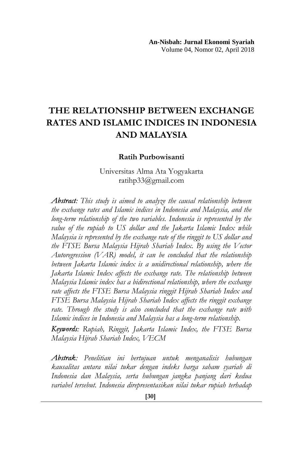# **THE RELATIONSHIP BETWEEN EXCHANGE RATES AND ISLAMIC INDICES IN INDONESIA AND MALAYSIA**

#### **Ratih Purbowisanti**

Universitas Alma Ata Yogyakarta ratihp33@gmail.com

*Abstract: This study is aimed to analyze the causal relationship between the exchange rates and Islamic indices in Indonesia and Malaysia, and the long-term relationship of the two variables. Indonesia is represented by the value of the rupiah to US dollar and the Jakarta Islamic Index while Malaysia is represented by the exchange rate of the ringgit to US dollar and the FTSE Bursa Malaysia Hijrah Shariah Index. By using the Vector Autoregression (VAR) model, it can be concluded that the relationship between Jakarta Islamic index is a unidirectional relationship, where the Jakarta Islamic Index affects the exchange rate. The relationship between Malaysia Islamic index has a bidirectional relationship, where the exchange rate affects the FTSE Bursa Malaysia ringgit Hijrah Shariah Index and FTSE Bursa Malaysia Hijrah Shariah Index affects the ringgit exchange rate. Through the study is also concluded that the exchange rate with Islamic indices in Indonesia and Malaysia has a long-term relationship.* 

*Keywords: Rupiah, Ringgit, Jakarta Islamic Index, the FTSE Bursa Malaysia Hijrah Shariah Index, VECM* 

*Abstrak: Penelitian ini bertujuan untuk menganalisis hubungan kausalitas antara nilai tukar dengan indeks harga saham syariah di Indonesia dan Malaysia, serta hubungan jangka panjang dari kedua variabel tersebut. Indonesia direpresentasikan nilai tukar rupiah terhadap*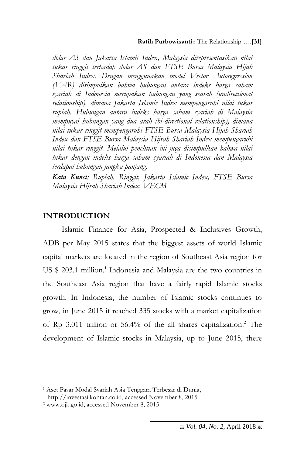#### **Ratih Purbowisanti:**: The Relationship ….**[31]**

*dolar AS dan Jakarta Islamic Index, Malaysia direpresentasikan nilai tukar ringgit terhadap dolar AS dan FTSE Bursa Malaysia Hijah Shariah Index. Dengan menggunakan model Vector Autoregression (VAR) disimpulkan bahwa hubungan antara indeks harga saham syariah di Indonesia merupakan hubungan yang searah (undirectional relationship), dimana Jakarta Islamic Index mempengaruhi nilai tukar rupiah. Hubungan antara indeks harga saham syariah di Malaysia mempuyai hubungan yang dua arah (bi-directional relationship), dimana nilai tukar ringgit mempengaruhi FTSE Bursa Malaysia Hijah Shariah Index dan FTSE Bursa Malaysia Hijrah Shariah Index mempengaruhi nilai tukar ringgit. Melalui penelitian ini juga disimpulkan bahwa nilai tukar dengan indeks harga saham syariah di Indonesia dan Malaysia terdapat hubungan jangka panjang.*

*Kata Kunci: Rupiah, Ringgit, Jakarta Islamic Index, FTSE Bursa Malaysia Hijrah Shariah Index, VECM*

## **INTRODUCTION**

 $\overline{a}$ 

Islamic Finance for Asia, Prospected & Inclusives Growth, ADB per May 2015 states that the biggest assets of world Islamic capital markets are located in the region of Southeast Asia region for US \$ 203.1 million. 1 Indonesia and Malaysia are the two countries in the Southeast Asia region that have a fairly rapid Islamic stocks growth. In Indonesia, the number of Islamic stocks continues to grow, in June 2015 it reached 335 stocks with a market capitalization of Rp 3.011 trillion or 56.4% of the all shares capitalization. <sup>2</sup> The development of Islamic stocks in Malaysia, up to June 2015, there

<sup>1</sup> Aset Pasar Modal Syariah Asia Tenggara Terbesar di Dunia, http://investasi.kontan.co.id, accessed November 8, 2015

<sup>2</sup> www.ojk.go.id, accessed November 8, 2015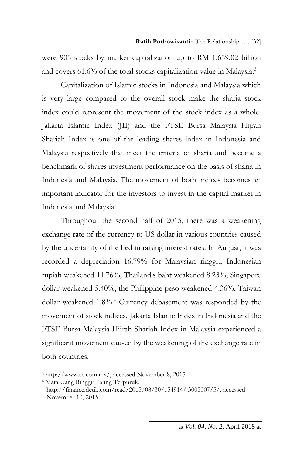were 905 stocks by market capitalization up to RM 1,659.02 billion and covers 61.6% of the total stocks capitalization value in Malaysia. 3

Capitalization of Islamic stocks in Indonesia and Malaysia which is very large compared to the overall stock make the sharia stock index could represent the movement of the stock index as a whole. Jakarta Islamic Index (JII) and the FTSE Bursa Malaysia Hijrah Shariah Index is one of the leading shares index in Indonesia and Malaysia respectively that meet the criteria of sharia and become a benchmark of shares investment performance on the basis of sharia in Indonesia and Malaysia. The movement of both indices becomes an important indicator for the investors to invest in the capital market in Indonesia and Malaysia.

Throughout the second half of 2015, there was a weakening exchange rate of the currency to US dollar in various countries caused by the uncertainty of the Fed in raising interest rates. In August, it was recorded a depreciation 16.79% for Malaysian ringgit, Indonesian rupiah weakened 11.76%, Thailand's baht weakened 8.23%, Singapore dollar weakened 5.40%, the Philippine peso weakened 4.36%, Taiwan dollar weakened 1.8%.<sup>4</sup> Currency debasement was responded by the movement of stock indices. Jakarta Islamic Index in Indonesia and the FTSE Bursa Malaysia Hijrah Shariah Index in Malaysia experienced a significant movement caused by the weakening of the exchange rate in both countries.

<sup>3</sup> http://www.sc.com.my/, accessed November 8, 2015

<sup>4</sup> Mata Uang Ringgit Paling Terpuruk, http://finance.detik.com/read/2015/08/30/154914/ 3005007/5/, accessed November 10, 2015.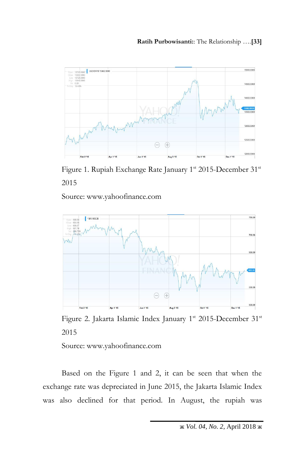

Figure 1. Rupiah Exchange Rate January 1st 2015-December 31st 2015

Source: www.yahoofinance.com



Figure 2. Jakarta Islamic Index January 1st 2015-December 31st 2015

Source: www.yahoofinance.com

Based on the Figure 1 and 2, it can be seen that when the exchange rate was depreciated in June 2015, the Jakarta Islamic Index was also declined for that period. In August, the rupiah was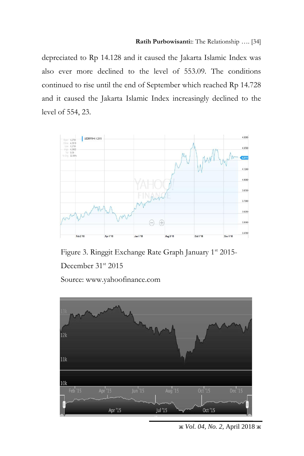depreciated to Rp 14.128 and it caused the Jakarta Islamic Index was also ever more declined to the level of 553.09. The conditions continued to rise until the end of September which reached Rp 14.728 and it caused the Jakarta Islamic Index increasingly declined to the level of 554, 23.



Figure 3. Ringgit Exchange Rate Graph January 1<sup>st</sup> 2015-December 31<sup>st</sup> 2015 Source: www.yahoofinance.com

 $12k$  $11k$  $10k$ Feb<sup>'15</sup> Apr $15$  $\frac{1}{2}$  lun<sup>1</sup>15 Aug '15  $Oct<sup>1</sup>15$  $Dec<sup>1</sup>15$ Apr '15 **Jul '15** Oct '15

ж *Vol. 04, No. 2,* April 2018 ж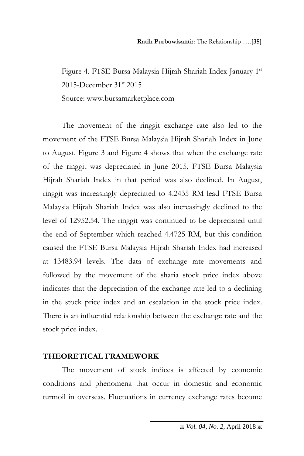Figure 4. FTSE Bursa Malaysia Hijrah Shariah Index January 1st 2015-December 31<sup>st</sup> 2015 Source: www.bursamarketplace.com

The movement of the ringgit exchange rate also led to the movement of the FTSE Bursa Malaysia Hijrah Shariah Index in June to August. Figure 3 and Figure 4 shows that when the exchange rate of the ringgit was depreciated in June 2015, FTSE Bursa Malaysia Hijrah Shariah Index in that period was also declined. In August, ringgit was increasingly depreciated to 4.2435 RM lead FTSE Bursa Malaysia Hijrah Shariah Index was also increasingly declined to the level of 12952.54. The ringgit was continued to be depreciated until the end of September which reached 4.4725 RM, but this condition caused the FTSE Bursa Malaysia Hijrah Shariah Index had increased at 13483.94 levels. The data of exchange rate movements and followed by the movement of the sharia stock price index above indicates that the depreciation of the exchange rate led to a declining in the stock price index and an escalation in the stock price index. There is an influential relationship between the exchange rate and the stock price index.

## **THEORETICAL FRAMEWORK**

The movement of stock indices is affected by economic conditions and phenomena that occur in domestic and economic turmoil in overseas. Fluctuations in currency exchange rates become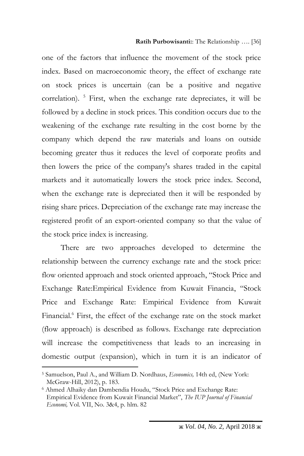one of the factors that influence the movement of the stock price index. Based on macroeconomic theory, the effect of exchange rate on stock prices is uncertain (can be a positive and negative correlation). <sup>5</sup> First, when the exchange rate depreciates, it will be followed by a decline in stock prices. This condition occurs due to the weakening of the exchange rate resulting in the cost borne by the company which depend the raw materials and loans on outside becoming greater thus it reduces the level of corporate profits and then lowers the price of the company's shares traded in the capital markets and it automatically lowers the stock price index. Second, when the exchange rate is depreciated then it will be responded by rising share prices. Depreciation of the exchange rate may increase the registered profit of an export-oriented company so that the value of the stock price index is increasing.

There are two approaches developed to determine the relationship between the currency exchange rate and the stock price: flow oriented approach and stock oriented approach, "Stock Price and Exchange Rate:Empirical Evidence from Kuwait Financia, "Stock Price and Exchange Rate: Empirical Evidence from Kuwait Financial.<sup>6</sup> First, the effect of the exchange rate on the stock market (flow approach) is described as follows. Exchange rate depreciation will increase the competitiveness that leads to an increasing in domestic output (expansion), which in turn it is an indicator of

<sup>5</sup> Samuelson, Paul A., and William D. Nordhaus, *Economics,* 14th ed, (New York: McGraw-Hill, 2012), p. 183.

<sup>6</sup> Ahmed Alhaiky dan Dambendia Houdu, "Stock Price and Exchange Rate: Empirical Evidence from Kuwait Financial Market", *The IUP Journal of Financial Economi,* Vol. VII, No. 3&4, p. hlm. 82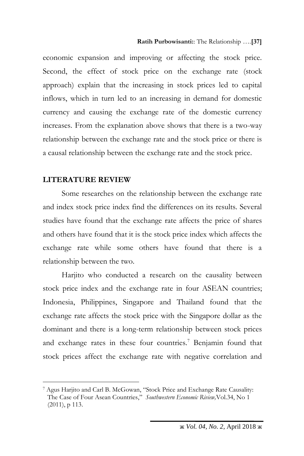economic expansion and improving or affecting the stock price. Second, the effect of stock price on the exchange rate (stock approach) explain that the increasing in stock prices led to capital inflows, which in turn led to an increasing in demand for domestic currency and causing the exchange rate of the domestic currency increases. From the explanation above shows that there is a two-way relationship between the exchange rate and the stock price or there is a causal relationship between the exchange rate and the stock price.

#### **LITERATURE REVIEW**

 $\overline{a}$ 

Some researches on the relationship between the exchange rate and index stock price index find the differences on its results. Several studies have found that the exchange rate affects the price of shares and others have found that it is the stock price index which affects the exchange rate while some others have found that there is a relationship between the two.

Harjito who conducted a research on the causality between stock price index and the exchange rate in four ASEAN countries; Indonesia, Philippines, Singapore and Thailand found that the exchange rate affects the stock price with the Singapore dollar as the dominant and there is a long-term relationship between stock prices and exchange rates in these four countries.<sup>7</sup> Benjamin found that stock prices affect the exchange rate with negative correlation and

<sup>7</sup> Agus Harjito and Carl B. McGowan, "Stock Price and Exchange Rate Causality: The Case of Four Asean Countries," *Southwestern Economic Riview,*Vol.34, No 1 (2011), p 113.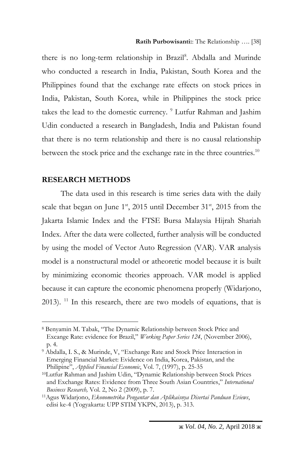there is no long-term relationship in Brazil<sup>8</sup>. Abdalla and Murinde who conducted a research in India, Pakistan, South Korea and the Philippines found that the exchange rate effects on stock prices in India, Pakistan, South Korea, while in Philippines the stock price takes the lead to the domestic currency. <sup>9</sup> Lutfur Rahman and Jashim Udin conducted a research in Bangladesh, India and Pakistan found that there is no term relationship and there is no causal relationship between the stock price and the exchange rate in the three countries.<sup>10</sup>

### **RESEARCH METHODS**

 $\overline{a}$ 

The data used in this research is time series data with the daily scale that began on June  $1<sup>st</sup>$ , 2015 until December 31 $<sup>st</sup>$ , 2015 from the</sup> Jakarta Islamic Index and the FTSE Bursa Malaysia Hijrah Shariah Index. After the data were collected, further analysis will be conducted by using the model of Vector Auto Regression (VAR). VAR analysis model is a nonstructural model or atheoretic model because it is built by minimizing economic theories approach. VAR model is applied because it can capture the economic phenomena properly (Widarjono, 2013). <sup>11</sup> In this research, there are two models of equations, that is

<sup>8</sup> Benyamin M. Tabak, "The Dynamic Relationship between Stock Price and Excange Rate: evidence for Brazil," *Working Paper Series 124*, (November 2006), p. 4.

<sup>9</sup> Abdalla, I. S., & Murinde, V, "Exchange Rate and Stock Price Interaction in Emerging Financial Market: Evidence on India, Korea, Pakistan, and the Philipine", *Applied Financial Economic*, Vol. 7, (1997), p. 25-35

<sup>10</sup>Lutfur Rahman and Jashim Udin, "Dynamic Relationship between Stock Prices and Exchange Rates: Evidence from Three South Asian Countries," *International Business Research,* Vol. 2, No 2 (2009), p. 7.

<sup>11</sup>Agus Widarjono, *Ekonometrika Pengantar dan Aplikaisnya Disertai Panduan Eviews*, edisi ke-4 (Yogyakarta: UPP STIM YKPN, 2013), p. 313.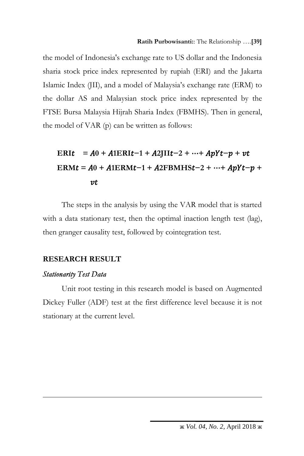the model of Indonesia's exchange rate to US dollar and the Indonesia sharia stock price index represented by rupiah (ERI) and the Jakarta Islamic Index (JII), and a model of Malaysia's exchange rate (ERM) to the dollar AS and Malaysian stock price index represented by the FTSE Bursa Malaysia Hijrah Sharia Index (FBMHS). Then in general, the model of VAR (p) can be written as follows:

# **ERI** $t = A0 + A1ERI$ *t* $-1 + A2I$ **II** $t-2 + \cdots + A pY$ *t* $- p + vt$  $ERMt = A0 + A1ERMt - 1 + A2FBMHSt - 2 + …+ ApYt - p +$  $vt$

The steps in the analysis by using the VAR model that is started with a data stationary test, then the optimal inaction length test (lag), then granger causality test, followed by cointegration test.

## **RESEARCH RESULT**

#### *Stationarity Test Data*

 $\overline{a}$ 

Unit root testing in this research model is based on Augmented Dickey Fuller (ADF) test at the first difference level because it is not stationary at the current level.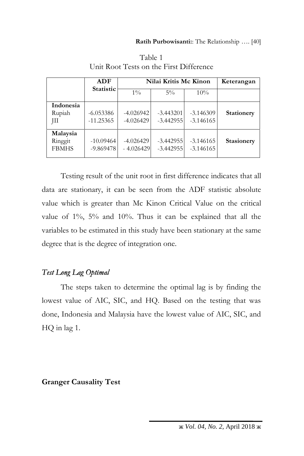|                                     | ADF                        | Nilai Kritis Mc Kinon      |                            |                            | Keterangan |
|-------------------------------------|----------------------------|----------------------------|----------------------------|----------------------------|------------|
|                                     | <b>Statistic</b>           | $1\%$                      | $5\%$                      | 10%                        |            |
| Indonesia<br>Rupiah<br>JП           | $-6.053386$<br>$-11.25365$ | $-4.026942$<br>$-4.026429$ | $-3.443201$<br>$-3.442955$ | $-3.146309$<br>$-3.146165$ | Stationery |
| Malaysia<br>Ringgit<br><b>FBMHS</b> | $-10.09464$<br>$-9.869478$ | $-4.026429$<br>$-4.026429$ | $-3.442955$<br>$-3.442955$ | $-3.146165$<br>$-3.146165$ | Stasionery |

Table 1 Unit Root Tests on the First Difference

Testing result of the unit root in first difference indicates that all data are stationary, it can be seen from the ADF statistic absolute value which is greater than Mc Kinon Critical Value on the critical value of 1%, 5% and 10%. Thus it can be explained that all the variables to be estimated in this study have been stationary at the same degree that is the degree of integration one.

## *Test Long Lag Optimal*

The steps taken to determine the optimal lag is by finding the lowest value of AIC, SIC, and HQ. Based on the testing that was done, Indonesia and Malaysia have the lowest value of AIC, SIC, and HQ in lag 1.

## **Granger Causality Test**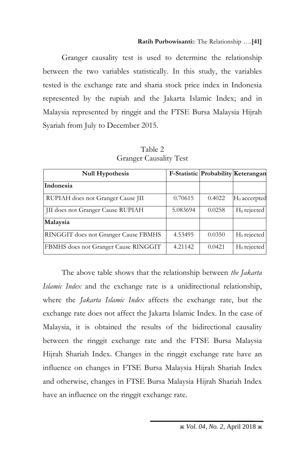Granger causality test is used to determine the relationship between the two variables statistically. In this study, the variables tested is the exchange rate and sharia stock price index in Indonesia represented by the rupiah and the Jakarta Islamic Index; and in Malaysia represented by ringgit and the FTSE Bursa Malaysia Hijrah Syariah from July to December 2015.

| <b>Null Hypothesis</b>               |          | F-Statistic Probability Keterangan |                 |
|--------------------------------------|----------|------------------------------------|-----------------|
| Indonesia                            |          |                                    |                 |
| RUPIAH does not Granger Cause JII    | 0.70615  | 0.4022                             | $H_0$ accerpted |
| JII does not Granger Cause RUPIAH    | 5.083694 | 0.0258                             | $H_0$ rejected  |
| Malaysia                             |          |                                    |                 |
| RINGGIT does not Granger Cause FBMHS | 4.53495  | 0.0350                             | $H_0$ rejected  |
| FBMHS does not Granger Cause RINGGIT | 4.21142  | 0.0421                             | $H_0$ rejected  |

Table 2 Granger Causality Test

The above table shows that the relationship between *the Jakarta Islamic Index* and the exchange rate is a unidirectional relationship, where the *Jakarta Islamic Index* affects the exchange rate, but the exchange rate does not affect the Jakarta Islamic Index. In the case of Malaysia, it is obtained the results of the bidirectional causality between the ringgit exchange rate and the FTSE Bursa Malaysia Hijrah Shariah Index. Changes in the ringgit exchange rate have an influence on changes in FTSE Bursa Malaysia Hijrah Shariah Index and otherwise, changes in FTSE Bursa Malaysia Hijrah Shariah Index have an influence on the ringgit exchange rate.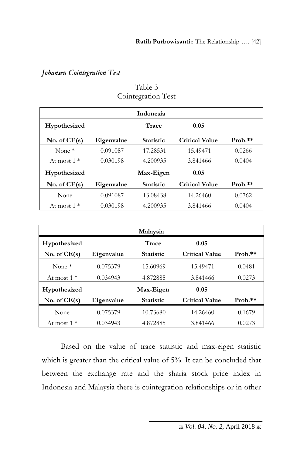## *Johansen Cointegration Test*

|                |            | <b>Indonesia</b> |                       |           |
|----------------|------------|------------------|-----------------------|-----------|
| Hypothesized   |            | Trace            | 0.05                  |           |
| No. of $CE(s)$ | Eigenvalue | <b>Statistic</b> | <b>Critical Value</b> | $Prob.**$ |
| None $*$       | 0.091087   | 17.28531         | 15.49471              | 0.0266    |
| At most $1^*$  | 0.030198   | 4.200935         | 3.841466              | 0.0404    |
| Hypothesized   |            | Max-Eigen        | 0.05                  |           |
| No. of $CE(s)$ | Eigenvalue | <b>Statistic</b> | <b>Critical Value</b> | $Prob.**$ |
| None           | 0.091087   | 13.08438         | 14.26460              | 0.0762    |
| At most $1^*$  | 0.030198   | 4.200935         | 3.841466              | 0.0404    |

Table 3 Cointegration Test

|                |            | Malaysia         |                       |           |
|----------------|------------|------------------|-----------------------|-----------|
| Hypothesized   |            | Trace            | 0.05                  |           |
| No. of $CE(s)$ | Eigenvalue | <b>Statistic</b> | <b>Critical Value</b> | $Prob.**$ |
| None $*$       | 0.075379   | 15.60969         | 15.49471              | 0.0481    |
| At most $1*$   | 0.034943   | 4.872885         | 3.841466              | 0.0273    |
| Hypothesized   |            | Max-Eigen        | 0.05                  |           |
| No. of $CE(s)$ | Eigenvalue | <b>Statistic</b> | <b>Critical Value</b> | $Prob.**$ |
| None           | 0.075379   | 10.73680         | 14.26460              | 0.1679    |
| At most $1*$   | 0.034943   | 4.872885         | 3.841466              | 0.0273    |

Based on the value of trace statistic and max-eigen statistic which is greater than the critical value of 5%. It can be concluded that between the exchange rate and the sharia stock price index in Indonesia and Malaysia there is cointegration relationships or in other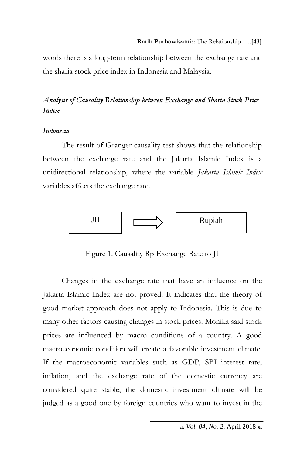words there is a long-term relationship between the exchange rate and the sharia stock price index in Indonesia and Malaysia.

## *Analysis of Causality Relationship between Exchange and Sharia Stock Price Index*

### *Indonesia*

The result of Granger causality test shows that the relationship between the exchange rate and the Jakarta Islamic Index is a unidirectional relationship*,* where the variable *Jakarta Islamic Index* variables affects the exchange rate.



Figure 1. Causality Rp Exchange Rate to JII

Changes in the exchange rate that have an influence on the Jakarta Islamic Index are not proved. It indicates that the theory of good market approach does not apply to Indonesia. This is due to many other factors causing changes in stock prices. Monika said stock prices are influenced by macro conditions of a country. A good macroeconomic condition will create a favorable investment climate. If the macroeconomic variables such as GDP, SBI interest rate, inflation, and the exchange rate of the domestic currency are considered quite stable, the domestic investment climate will be judged as a good one by foreign countries who want to invest in the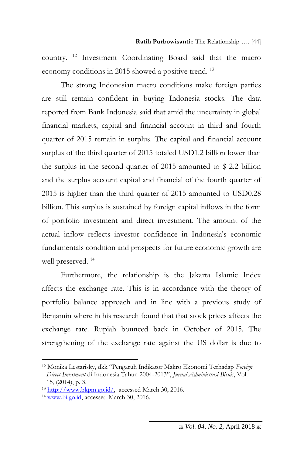country. <sup>12</sup> Investment Coordinating Board said that the macro economy conditions in 2015 showed a positive trend.<sup>13</sup>

The strong Indonesian macro conditions make foreign parties are still remain confident in buying Indonesia stocks. The data reported from Bank Indonesia said that amid the uncertainty in global financial markets, capital and financial account in third and fourth quarter of 2015 remain in surplus. The capital and financial account surplus of the third quarter of 2015 totaled USD1.2 billion lower than the surplus in the second quarter of 2015 amounted to \$ 2.2 billion and the surplus account capital and financial of the fourth quarter of 2015 is higher than the third quarter of 2015 amounted to USD0,28 billion. This surplus is sustained by foreign capital inflows in the form of portfolio investment and direct investment. The amount of the actual inflow reflects investor confidence in Indonesia's economic fundamentals condition and prospects for future economic growth are well preserved.<sup>14</sup>

Furthermore, the relationship is the Jakarta Islamic Index affects the exchange rate. This is in accordance with the theory of portfolio balance approach and in line with a previous study of Benjamin where in his research found that that stock prices affects the exchange rate. Rupiah bounced back in October of 2015. The strengthening of the exchange rate against the US dollar is due to

<sup>12</sup> Monika Lestarisky, dkk "Pengaruh Indikator Makro Ekonomi Terhadap *Foreign Direct Investment* di Indonesia Tahun 2004-2013", *Jurnal Administrasi Bisnis*, Vol. 15, (2014), p. 3.

<sup>13</sup> [http://www.bkpm.go.id/,](http://www.bkpm.go.id/) accessed March 30, 2016.

<sup>14</sup> [www.bi.go.id,](http://www.bi.go.id/) accessed March 30, 2016.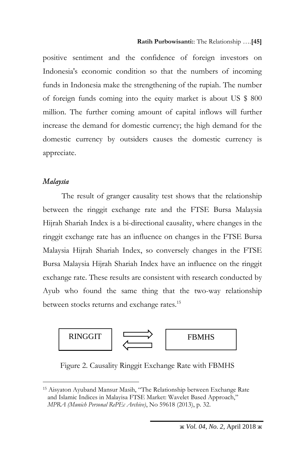positive sentiment and the confidence of foreign investors on Indonesia's economic condition so that the numbers of incoming funds in Indonesia make the strengthening of the rupiah. The number of foreign funds coming into the equity market is about US \$ 800 million. The further coming amount of capital inflows will further increase the demand for domestic currency; the high demand for the domestic currency by outsiders causes the domestic currency is appreciate.

#### *Malaysia*

 $\overline{a}$ 

The result of granger causality test shows that the relationship between the ringgit exchange rate and the FTSE Bursa Malaysia Hijrah Shariah Index is a bi-directional causality, where changes in the ringgit exchange rate has an influence on changes in the FTSE Bursa Malaysia Hijrah Shariah Index, so conversely changes in the FTSE Bursa Malaysia Hijrah Shariah Index have an influence on the ringgit exchange rate. These results are consistent with research conducted by Ayub who found the same thing that the two-way relationship between stocks returns and exchange rates.<sup>15</sup>



Figure 2. Causality Ringgit Exchange Rate with FBMHS

<sup>15</sup> Aisyaton Ayuband Mansur Masih, "The Relationship between Exchange Rate and Islamic Indices in Malayisa FTSE Market: Wavelet Based Approach," *MPRA (Munich Personal RePEc Archive)*, No 59618 (2013), p. 32.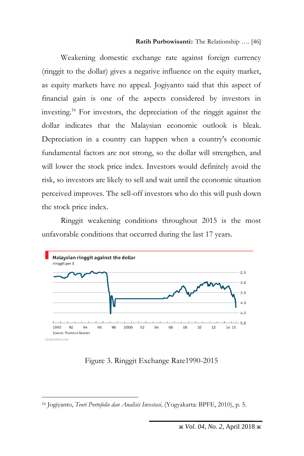Weakening domestic exchange rate against foreign currency (ringgit to the dollar) gives a negative influence on the equity market, as equity markets have no appeal. Jogiyanto said that this aspect of financial gain is one of the aspects considered by investors in investing.<sup>16</sup> For investors, the depreciation of the ringgit against the dollar indicates that the Malaysian economic outlook is bleak. Depreciation in a country can happen when a country's economic fundamental factors are not strong, so the dollar will strengthen, and will lower the stock price index. Investors would definitely avoid the risk, so investors are likely to sell and wait until the economic situation perceived improves. The sell-off investors who do this will push down the stock price index.

Ringgit weakening conditions throughout 2015 is the most unfavorable conditions that occurred during the last 17 years.



Figure 3. Ringgit Exchange Rate1990-2015

<sup>16</sup> Jogiyanto, *Teori Portofolio dan Analisis Investasi,* (Yogyakarta: BPFE, 2010), p. 5.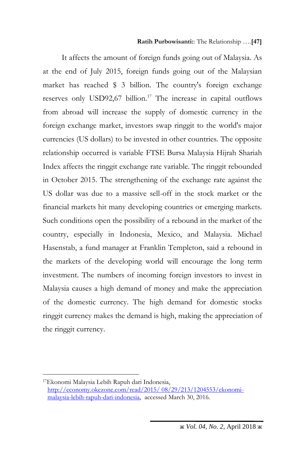#### **Ratih Purbowisanti:**: The Relationship ….**[47]**

It affects the amount of foreign funds going out of Malaysia. As at the end of July 2015, foreign funds going out of the Malaysian market has reached \$ 3 billion. The country's foreign exchange reserves only USD92,67 billion.<sup>17</sup> The increase in capital outflows from abroad will increase the supply of domestic currency in the foreign exchange market, investors swap ringgit to the world's major currencies (US dollars) to be invested in other countries. The opposite relationship occurred is variable FTSE Bursa Malaysia Hijrah Shariah Index affects the ringgit exchange rate variable. The ringgit rebounded in October 2015. The strengthening of the exchange rate against the US dollar was due to a massive sell-off in the stock market or the financial markets hit many developing countries or emerging markets. Such conditions open the possibility of a rebound in the market of the country, especially in Indonesia, Mexico, and Malaysia. Michael Hasenstab, a fund manager at Franklin Templeton, said a rebound in the markets of the developing world will encourage the long term investment. The numbers of incoming foreign investors to invest in Malaysia causes a high demand of money and make the appreciation of the domestic currency. The high demand for domestic stocks ringgit currency makes the demand is high, making the appreciation of the ringgit currency.

<sup>17</sup>Ekonomi Malaysia Lebih Rapuh dari Indonesia, [http://economy.okezone.com/read/2015/ 08/29/213/1204553/ekonomi](http://economy.okezone.com/read/2015/%2008/29/213/1204553/ekonomi-malaysia-lebih-rapuh-dari-indonesia)[malaysia-lebih-rapuh-dari-indonesia,](http://economy.okezone.com/read/2015/%2008/29/213/1204553/ekonomi-malaysia-lebih-rapuh-dari-indonesia) accessed March 30, 2016.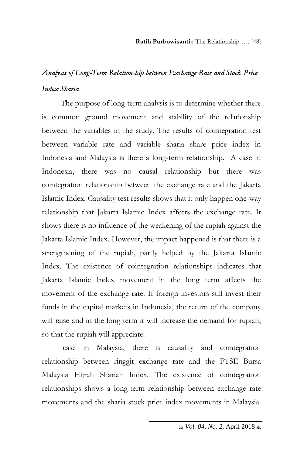# *Analysis of Long-Term Relationship between Exchange Rate and Stock Price Index Sharia*

The purpose of long-term analysis is to determine whether there is common ground movement and stability of the relationship between the variables in the study. The results of cointegration test between variable rate and variable sharia share price index in Indonesia and Malaysia is there a long-term relationship. A case in Indonesia, there was no causal relationship but there was cointegration relationship between the exchange rate and the Jakarta Islamic Index. Causality test results shows that it only happen one-way relationship that Jakarta Islamic Index affects the exchange rate. It shows there is no influence of the weakening of the rupiah against the Jakarta Islamic Index. However, the impact happened is that there is a strengthening of the rupiah, partly helped by the Jakarta Islamic Index. The existence of cointegration relationships indicates that Jakarta Islamic Index movement in the long term affects the movement of the exchange rate. If foreign investors still invest their funds in the capital markets in Indonesia, the return of the company will raise and in the long term it will increase the demand for rupiah, so that the rupiah will appreciate.

case in Malaysia, there is causality and cointegration relationship between ringgit exchange rate and the FTSE Bursa Malaysia Hijrah Shariah Index. The existence of cointegration relationships shows a long-term relationship between exchange rate movements and the sharia stock price index movements in Malaysia.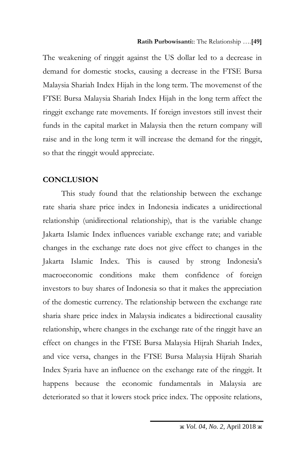The weakening of ringgit against the US dollar led to a decrease in demand for domestic stocks, causing a decrease in the FTSE Bursa Malaysia Shariah Index Hijah in the long term. The movemenst of the FTSE Bursa Malaysia Shariah Index Hijah in the long term affect the ringgit exchange rate movements. If foreign investors still invest their funds in the capital market in Malaysia then the return company will raise and in the long term it will increase the demand for the ringgit, so that the ringgit would appreciate.

## **CONCLUSION**

This study found that the relationship between the exchange rate sharia share price index in Indonesia indicates a unidirectional relationship (unidirectional relationship), that is the variable change Jakarta Islamic Index influences variable exchange rate; and variable changes in the exchange rate does not give effect to changes in the Jakarta Islamic Index. This is caused by strong Indonesia's macroeconomic conditions make them confidence of foreign investors to buy shares of Indonesia so that it makes the appreciation of the domestic currency. The relationship between the exchange rate sharia share price index in Malaysia indicates a bidirectional causality relationship, where changes in the exchange rate of the ringgit have an effect on changes in the FTSE Bursa Malaysia Hijrah Shariah Index, and vice versa, changes in the FTSE Bursa Malaysia Hijrah Shariah Index Syaria have an influence on the exchange rate of the ringgit. It happens because the economic fundamentals in Malaysia are deteriorated so that it lowers stock price index. The opposite relations,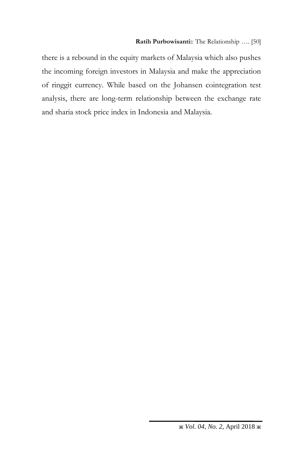there is a rebound in the equity markets of Malaysia which also pushes the incoming foreign investors in Malaysia and make the appreciation of ringgit currency. While based on the Johansen cointegration test analysis, there are long-term relationship between the exchange rate and sharia stock price index in Indonesia and Malaysia.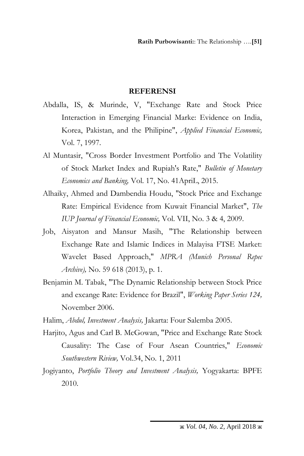### **REFERENSI**

- Abdalla, IS, & Murinde, V, "Exchange Rate and Stock Price Interaction in Emerging Financial Marke: Evidence on India, Korea, Pakistan, and the Philipine", *Applied Financial Economic,* Vol. 7, 1997.
- Al Muntasir, "Cross Border Investment Portfolio and The Volatility of Stock Market Index and Rupiah's Rate," *Bulletin of Monetary Economics and Banking,* Vol. 17, No. 41ApriL, 2015.
- Alhaiky, Ahmed and Dambendia Houdu, "Stock Price and Exchange Rate: Empirical Evidence from Kuwait Financial Market", *The IUP Journal of Financial Economic,* Vol. VII, No. 3 & 4, 2009.
- Job, Aisyaton and Mansur Masih, "The Relationship between Exchange Rate and Islamic Indices in Malayisa FTSE Market: Wavelet Based Approach," *MPRA (Munich Personal Repec Archive),* No. 59 618 (2013), p. 1.
- Benjamin M. Tabak, "The Dynamic Relationship between Stock Price and excange Rate: Evidence for Brazil", *Working Paper Series 124,* November 2006.

Halim, *Abdul, Investment Analysis,* Jakarta: Four Salemba 2005.

- Harjito, Agus and Carl B. McGowan, "Price and Exchange Rate Stock Causality: The Case of Four Asean Countries," *Economic Southwestern Riview,* Vol.34, No. 1, 2011
- Jogiyanto, *Portfolio Theory and Investment Analysis,* Yogyakarta: BPFE 2010.